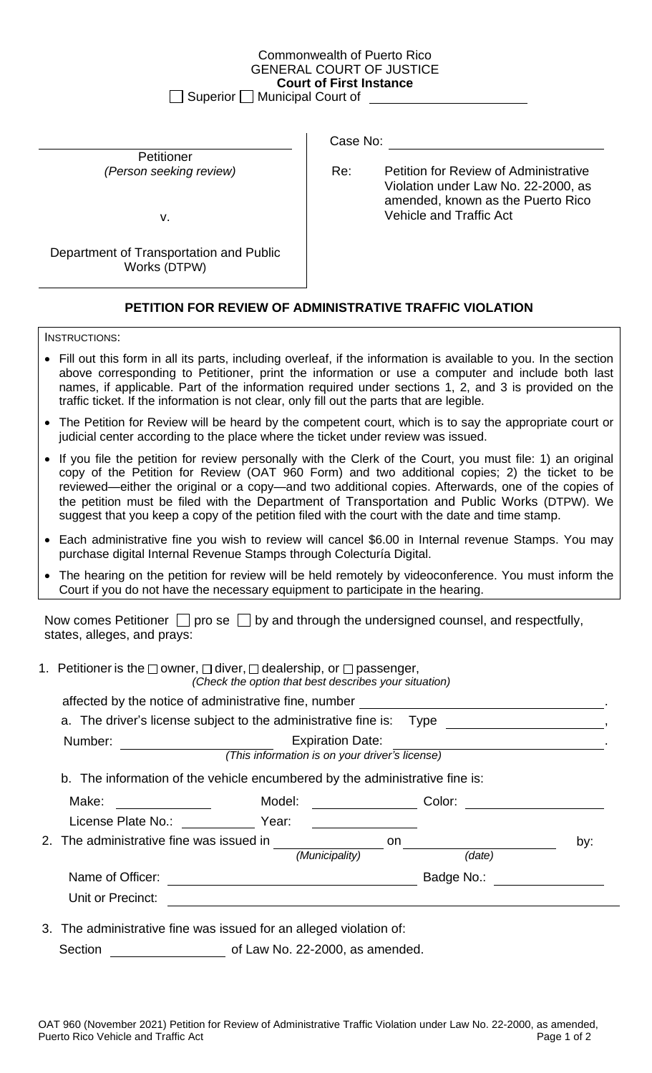## Commonwealth of Puerto Rico GENERAL COURT OF JUSTICE **Court of First Instance**

 $\Box$  Superior  $\Box$  Municipal Court of

Petitioner

Department of Transportation and Public Works (DTPW)

## Case No:

*(Person seeking review)* Re: Petition for Review of Administrative Violation under Law No. 22-2000, as amended, known as the Puerto Rico v. Vehicle and Traffic Act

## **PETITION FOR REVIEW OF ADMINISTRATIVE TRAFFIC VIOLATION**

INSTRUCTIONS:

- Fill out this form in all its parts, including overleaf, if the information is available to you. In the section above corresponding to Petitioner, print the information or use a computer and include both last names, if applicable. Part of the information required under sections 1, 2, and 3 is provided on the traffic ticket. If the information is not clear, only fill out the parts that are legible.
- The Petition for Review will be heard by the competent court, which is to say the appropriate court or judicial center according to the place where the ticket under review was issued.
- If you file the petition for review personally with the Clerk of the Court, you must file: 1) an original copy of the Petition for Review (OAT 960 Form) and two additional copies; 2) the ticket to be reviewed—either the original or a copy—and two additional copies. Afterwards, one of the copies of the petition must be filed with the Department of Transportation and Public Works (DTPW). We suggest that you keep a copy of the petition filed with the court with the date and time stamp.
- Each administrative fine you wish to review will cancel \$6.00 in Internal revenue Stamps. You may purchase digital Internal Revenue Stamps through Colecturía Digital.
- The hearing on the petition for review will be held remotely by videoconference. You must inform the Court if you do not have the necessary equipment to participate in the hearing.

Now comes Petitioner  $\Box$  pro se  $\Box$  by and through the undersigned counsel, and respectfully, states, alleges, and prays:

1. Petitioner is the  $\Box$  owner,  $\Box$  diver,  $\Box$  dealership, or  $\Box$  passenger,

*(Check the option that best describes your situation)*

|                                                                    | affected by the notice of administrative fine, number __________________________ |                                                                                                                                                                                                                                                |     |  |  |  |
|--------------------------------------------------------------------|----------------------------------------------------------------------------------|------------------------------------------------------------------------------------------------------------------------------------------------------------------------------------------------------------------------------------------------|-----|--|--|--|
|                                                                    | a. The driver's license subject to the administrative fine is: Type              |                                                                                                                                                                                                                                                |     |  |  |  |
| Number:                                                            | <b>Expiration Date:</b><br>(This information is on your driver's license)        |                                                                                                                                                                                                                                                |     |  |  |  |
|                                                                    | b. The information of the vehicle encumbered by the administrative fine is:      |                                                                                                                                                                                                                                                |     |  |  |  |
| Make:<br><u> 1990 - Jan Barbara III, prima posta</u>               | Model:                                                                           | Color:<br><u>and the community of the community of the community of the community of the community of the community of the community of the community of the community of the community of the community of the community of the community</u> |     |  |  |  |
| License Plate No.: Year:                                           |                                                                                  |                                                                                                                                                                                                                                                |     |  |  |  |
| 2. The administrative fine was issued in                           |                                                                                  | on                                                                                                                                                                                                                                             | by: |  |  |  |
|                                                                    | (Municipality)                                                                   | (date)                                                                                                                                                                                                                                         |     |  |  |  |
| Name of Officer:                                                   |                                                                                  | Badge No.:                                                                                                                                                                                                                                     |     |  |  |  |
| Unit or Precinct:                                                  |                                                                                  |                                                                                                                                                                                                                                                |     |  |  |  |
| 3. The administrative fine was issued for an alleged violation of: |                                                                                  |                                                                                                                                                                                                                                                |     |  |  |  |

Section **Section** of Law No. 22-2000, as amended.